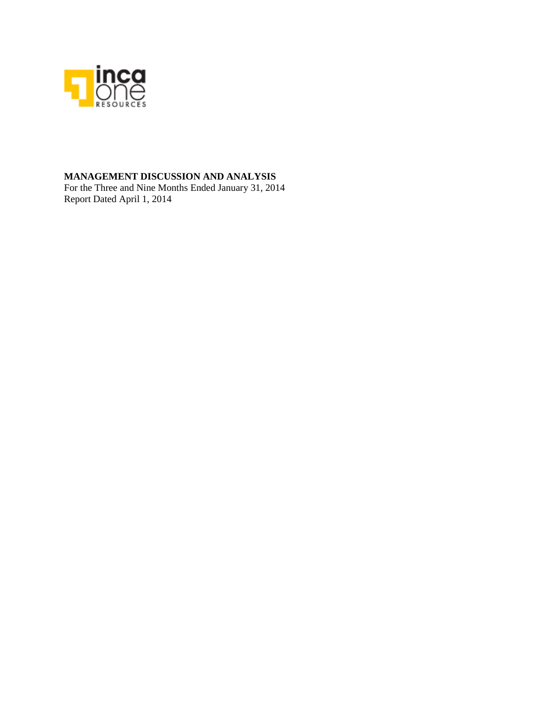

# **MANAGEMENT DISCUSSION AND ANALYSIS**

For the Three and Nine Months Ended January 31, 2014 Report Dated April 1, 2014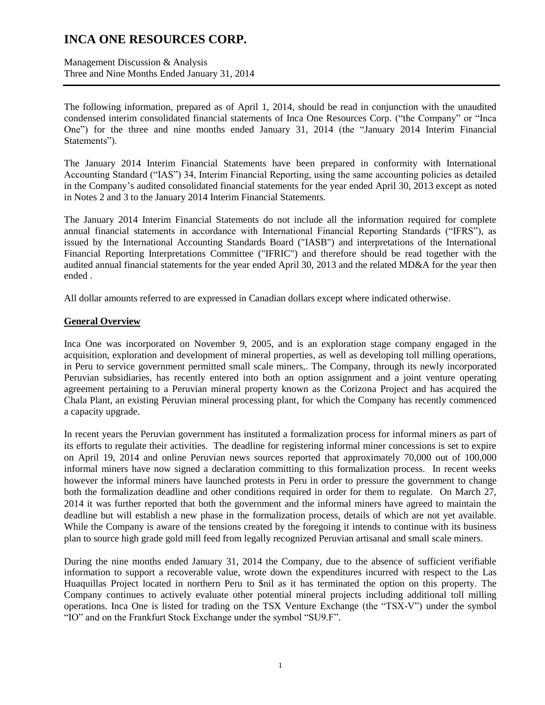Management Discussion & Analysis Three and Nine Months Ended January 31, 2014

The following information, prepared as of April 1, 2014, should be read in conjunction with the unaudited condensed interim consolidated financial statements of Inca One Resources Corp. ("the Company" or "Inca One") for the three and nine months ended January 31, 2014 (the "January 2014 Interim Financial Statements").

The January 2014 Interim Financial Statements have been prepared in conformity with International Accounting Standard ("IAS") 34, Interim Financial Reporting, using the same accounting policies as detailed in the Company's audited consolidated financial statements for the year ended April 30, 2013 except as noted in Notes 2 and 3 to the January 2014 Interim Financial Statements.

The January 2014 Interim Financial Statements do not include all the information required for complete annual financial statements in accordance with International Financial Reporting Standards ("IFRS"), as issued by the International Accounting Standards Board ("IASB") and interpretations of the International Financial Reporting Interpretations Committee ("IFRIC") and therefore should be read together with the audited annual financial statements for the year ended April 30, 2013 and the related MD&A for the year then ended .

All dollar amounts referred to are expressed in Canadian dollars except where indicated otherwise.

## **General Overview**

Inca One was incorporated on November 9, 2005, and is an exploration stage company engaged in the acquisition, exploration and development of mineral properties, as well as developing toll milling operations, in Peru to service government permitted small scale miners,. The Company, through its newly incorporated Peruvian subsidiaries, has recently entered into both an option assignment and a joint venture operating agreement pertaining to a Peruvian mineral property known as the Corizona Project and has acquired the Chala Plant, an existing Peruvian mineral processing plant, for which the Company has recently commenced a capacity upgrade.

In recent years the Peruvian government has instituted a formalization process for informal miners as part of its efforts to regulate their activities. The deadline for registering informal miner concessions is set to expire on April 19, 2014 and online Peruvian news sources reported that approximately 70,000 out of 100,000 informal miners have now signed a declaration committing to this formalization process. In recent weeks however the informal miners have launched protests in Peru in order to pressure the government to change both the formalization deadline and other conditions required in order for them to regulate. On March 27, 2014 it was further reported that both the government and the informal miners have agreed to maintain the deadline but will establish a new phase in the formalization process, details of which are not yet available. While the Company is aware of the tensions created by the foregoing it intends to continue with its business plan to source high grade gold mill feed from legally recognized Peruvian artisanal and small scale miners.

During the nine months ended January 31, 2014 the Company, due to the absence of sufficient verifiable information to support a recoverable value, wrote down the expenditures incurred with respect to the Las Huaquillas Project located in northern Peru to \$nil as it has terminated the option on this property. The Company continues to actively evaluate other potential mineral projects including additional toll milling operations. Inca One is listed for trading on the TSX Venture Exchange (the "TSX-V") under the symbol "IO" and on the Frankfurt Stock Exchange under the symbol "SU9.F".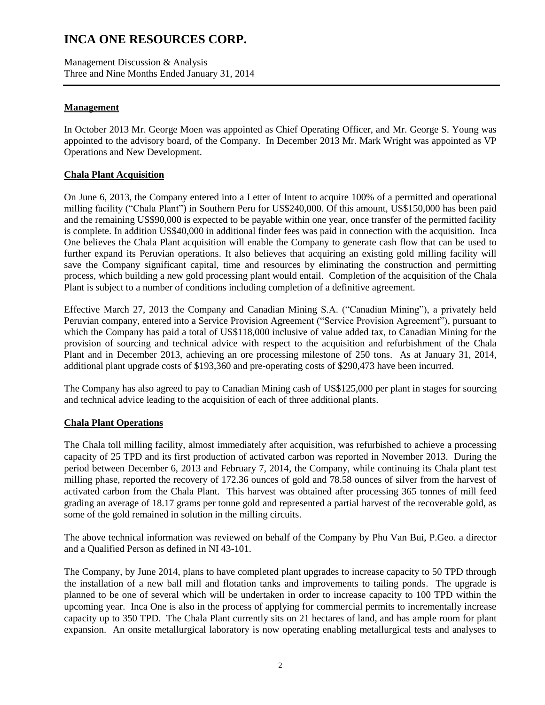Management Discussion & Analysis Three and Nine Months Ended January 31, 2014

## **Management**

In October 2013 Mr. George Moen was appointed as Chief Operating Officer, and Mr. George S. Young was appointed to the advisory board, of the Company. In December 2013 Mr. Mark Wright was appointed as VP Operations and New Development.

## **Chala Plant Acquisition**

On June 6, 2013, the Company entered into a Letter of Intent to acquire 100% of a permitted and operational milling facility ("Chala Plant") in Southern Peru for US\$240,000. Of this amount, US\$150,000 has been paid and the remaining US\$90,000 is expected to be payable within one year, once transfer of the permitted facility is complete. In addition US\$40,000 in additional finder fees was paid in connection with the acquisition. Inca One believes the Chala Plant acquisition will enable the Company to generate cash flow that can be used to further expand its Peruvian operations. It also believes that acquiring an existing gold milling facility will save the Company significant capital, time and resources by eliminating the construction and permitting process, which building a new gold processing plant would entail. Completion of the acquisition of the Chala Plant is subject to a number of conditions including completion of a definitive agreement.

Effective March 27, 2013 the Company and Canadian Mining S.A. ("Canadian Mining"), a privately held Peruvian company, entered into a Service Provision Agreement ("Service Provision Agreement"), pursuant to which the Company has paid a total of US\$118,000 inclusive of value added tax, to Canadian Mining for the provision of sourcing and technical advice with respect to the acquisition and refurbishment of the Chala Plant and in December 2013, achieving an ore processing milestone of 250 tons. As at January 31, 2014, additional plant upgrade costs of \$193,360 and pre-operating costs of \$290,473 have been incurred.

The Company has also agreed to pay to Canadian Mining cash of US\$125,000 per plant in stages for sourcing and technical advice leading to the acquisition of each of three additional plants.

## **Chala Plant Operations**

The Chala toll milling facility, almost immediately after acquisition, was refurbished to achieve a processing capacity of 25 TPD and its first production of activated carbon was reported in November 2013. During the period between December 6, 2013 and February 7, 2014, the Company, while continuing its Chala plant test milling phase, reported the recovery of 172.36 ounces of gold and 78.58 ounces of silver from the harvest of activated carbon from the Chala Plant. This harvest was obtained after processing 365 tonnes of mill feed grading an average of 18.17 grams per tonne gold and represented a partial harvest of the recoverable gold, as some of the gold remained in solution in the milling circuits.

The above technical information was reviewed on behalf of the Company by Phu Van Bui, P.Geo. a director and a Qualified Person as defined in NI 43-101.

The Company, by June 2014, plans to have completed plant upgrades to increase capacity to 50 TPD through the installation of a new ball mill and flotation tanks and improvements to tailing ponds. The upgrade is planned to be one of several which will be undertaken in order to increase capacity to 100 TPD within the upcoming year. Inca One is also in the process of applying for commercial permits to incrementally increase capacity up to 350 TPD. The Chala Plant currently sits on 21 hectares of land, and has ample room for plant expansion. An onsite metallurgical laboratory is now operating enabling metallurgical tests and analyses to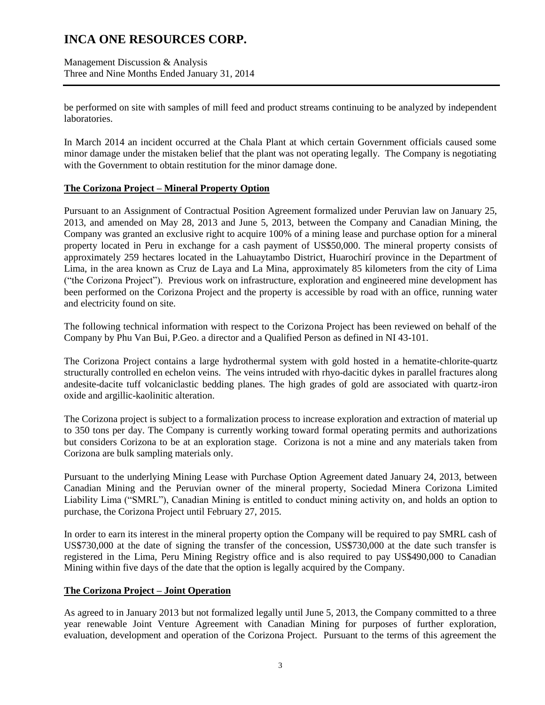Management Discussion & Analysis Three and Nine Months Ended January 31, 2014

be performed on site with samples of mill feed and product streams continuing to be analyzed by independent laboratories.

In March 2014 an incident occurred at the Chala Plant at which certain Government officials caused some minor damage under the mistaken belief that the plant was not operating legally. The Company is negotiating with the Government to obtain restitution for the minor damage done.

## **The Corizona Project – Mineral Property Option**

Pursuant to an Assignment of Contractual Position Agreement formalized under Peruvian law on January 25, 2013, and amended on May 28, 2013 and June 5, 2013, between the Company and Canadian Mining, the Company was granted an exclusive right to acquire 100% of a mining lease and purchase option for a mineral property located in Peru in exchange for a cash payment of US\$50,000. The mineral property consists of approximately 259 hectares located in the Lahuaytambo District, Huarochirí province in the Department of Lima, in the area known as Cruz de Laya and La Mina, approximately 85 kilometers from the city of Lima ("the Corizona Project"). Previous work on infrastructure, exploration and engineered mine development has been performed on the Corizona Project and the property is accessible by road with an office, running water and electricity found on site.

The following technical information with respect to the Corizona Project has been reviewed on behalf of the Company by Phu Van Bui, P.Geo. a director and a Qualified Person as defined in NI 43-101.

The Corizona Project contains a large hydrothermal system with gold hosted in a hematite-chlorite-quartz structurally controlled en echelon veins. The veins intruded with rhyo-dacitic dykes in parallel fractures along andesite-dacite tuff volcaniclastic bedding planes. The high grades of gold are associated with quartz-iron oxide and argillic-kaolinitic alteration.

The Corizona project is subject to a formalization process to increase exploration and extraction of material up to 350 tons per day. The Company is currently working toward formal operating permits and authorizations but considers Corizona to be at an exploration stage. Corizona is not a mine and any materials taken from Corizona are bulk sampling materials only.

Pursuant to the underlying Mining Lease with Purchase Option Agreement dated January 24, 2013, between Canadian Mining and the Peruvian owner of the mineral property, Sociedad Minera Corizona Limited Liability Lima ("SMRL"), Canadian Mining is entitled to conduct mining activity on, and holds an option to purchase, the Corizona Project until February 27, 2015.

In order to earn its interest in the mineral property option the Company will be required to pay SMRL cash of US\$730,000 at the date of signing the transfer of the concession, US\$730,000 at the date such transfer is registered in the Lima, Peru Mining Registry office and is also required to pay US\$490,000 to Canadian Mining within five days of the date that the option is legally acquired by the Company.

## **The Corizona Project – Joint Operation**

As agreed to in January 2013 but not formalized legally until June 5, 2013, the Company committed to a three year renewable Joint Venture Agreement with Canadian Mining for purposes of further exploration, evaluation, development and operation of the Corizona Project. Pursuant to the terms of this agreement the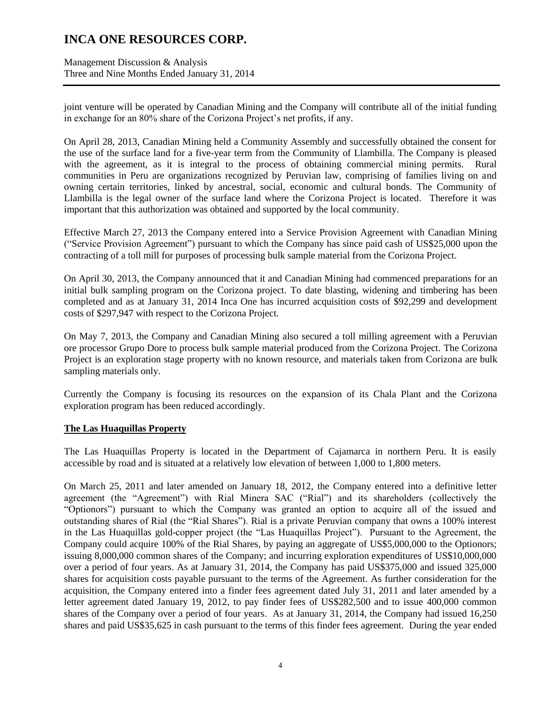Management Discussion & Analysis Three and Nine Months Ended January 31, 2014

joint venture will be operated by Canadian Mining and the Company will contribute all of the initial funding in exchange for an 80% share of the Corizona Project's net profits, if any.

On April 28, 2013, Canadian Mining held a Community Assembly and successfully obtained the consent for the use of the surface land for a five-year term from the Community of Llambilla. The Company is pleased with the agreement, as it is integral to the process of obtaining commercial mining permits. Rural communities in Peru are organizations recognized by Peruvian law, comprising of families living on and owning certain territories, linked by ancestral, social, economic and cultural bonds. The Community of Llambilla is the legal owner of the surface land where the Corizona Project is located. Therefore it was important that this authorization was obtained and supported by the local community.

Effective March 27, 2013 the Company entered into a Service Provision Agreement with Canadian Mining ("Service Provision Agreement") pursuant to which the Company has since paid cash of US\$25,000 upon the contracting of a toll mill for purposes of processing bulk sample material from the Corizona Project.

On April 30, 2013, the Company announced that it and Canadian Mining had commenced preparations for an initial bulk sampling program on the Corizona project. To date blasting, widening and timbering has been completed and as at January 31, 2014 Inca One has incurred acquisition costs of \$92,299 and development costs of \$297,947 with respect to the Corizona Project.

On May 7, 2013, the Company and Canadian Mining also secured a toll milling agreement with a Peruvian ore processor Grupo Dore to process bulk sample material produced from the Corizona Project. The Corizona Project is an exploration stage property with no known resource, and materials taken from Corizona are bulk sampling materials only.

Currently the Company is focusing its resources on the expansion of its Chala Plant and the Corizona exploration program has been reduced accordingly.

## **The Las Huaquillas Property**

The Las Huaquillas Property is located in the Department of Cajamarca in northern Peru. It is easily accessible by road and is situated at a relatively low elevation of between 1,000 to 1,800 meters.

On March 25, 2011 and later amended on January 18, 2012, the Company entered into a definitive letter agreement (the "Agreement") with Rial Minera SAC ("Rial") and its shareholders (collectively the "Optionors") pursuant to which the Company was granted an option to acquire all of the issued and outstanding shares of Rial (the "Rial Shares"). Rial is a private Peruvian company that owns a 100% interest in the Las Huaquillas gold-copper project (the "Las Huaquillas Project"). Pursuant to the Agreement, the Company could acquire 100% of the Rial Shares, by paying an aggregate of US\$5,000,000 to the Optionors; issuing 8,000,000 common shares of the Company; and incurring exploration expenditures of US\$10,000,000 over a period of four years. As at January 31, 2014, the Company has paid US\$375,000 and issued 325,000 shares for acquisition costs payable pursuant to the terms of the Agreement. As further consideration for the acquisition, the Company entered into a finder fees agreement dated July 31, 2011 and later amended by a letter agreement dated January 19, 2012, to pay finder fees of US\$282,500 and to issue 400,000 common shares of the Company over a period of four years. As at January 31, 2014, the Company had issued 16,250 shares and paid US\$35,625 in cash pursuant to the terms of this finder fees agreement. During the year ended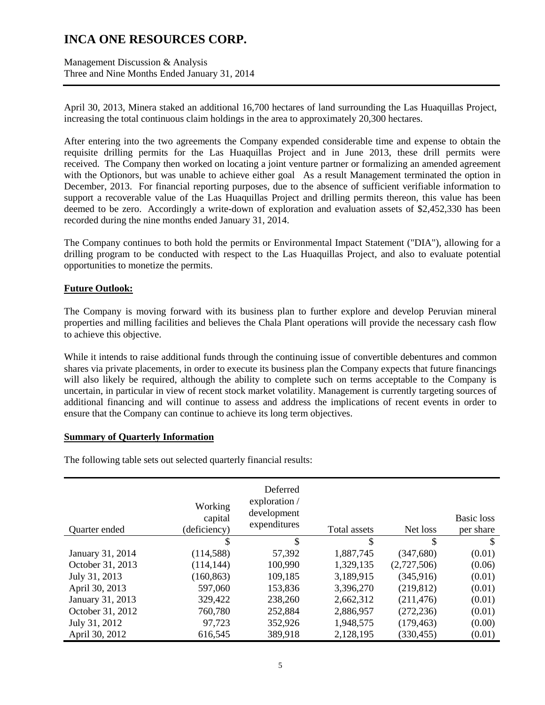Management Discussion & Analysis Three and Nine Months Ended January 31, 2014

April 30, 2013, Minera staked an additional 16,700 hectares of land surrounding the Las Huaquillas Project, increasing the total continuous claim holdings in the area to approximately 20,300 hectares.

After entering into the two agreements the Company expended considerable time and expense to obtain the requisite drilling permits for the Las Huaquillas Project and in June 2013, these drill permits were received. The Company then worked on locating a joint venture partner or formalizing an amended agreement with the Optionors, but was unable to achieve either goal As a result Management terminated the option in December, 2013. For financial reporting purposes, due to the absence of sufficient verifiable information to support a recoverable value of the Las Huaquillas Project and drilling permits thereon, this value has been deemed to be zero. Accordingly a write-down of exploration and evaluation assets of \$2,452,330 has been recorded during the nine months ended January 31, 2014.

The Company continues to both hold the permits or Environmental Impact Statement ("DIA"), allowing for a drilling program to be conducted with respect to the Las Huaquillas Project, and also to evaluate potential opportunities to monetize the permits.

## **Future Outlook:**

The Company is moving forward with its business plan to further explore and develop Peruvian mineral properties and milling facilities and believes the Chala Plant operations will provide the necessary cash flow to achieve this objective.

While it intends to raise additional funds through the continuing issue of convertible debentures and common shares via private placements, in order to execute its business plan the Company expects that future financings will also likely be required, although the ability to complete such on terms acceptable to the Company is uncertain, in particular in view of recent stock market volatility. Management is currently targeting sources of additional financing and will continue to assess and address the implications of recent events in order to ensure that the Company can continue to achieve its long term objectives.

## **Summary of Quarterly Information**

The following table sets out selected quarterly financial results:

| Quarter ended    | Working<br>capital<br>(deficiency) | Deferred<br>exploration /<br>development<br>expenditures | Total assets | Net loss    | Basic loss<br>per share |
|------------------|------------------------------------|----------------------------------------------------------|--------------|-------------|-------------------------|
|                  | \$                                 | \$                                                       | \$           | \$          | S                       |
| January 31, 2014 | (114, 588)                         | 57,392                                                   | 1,887,745    | (347,680)   | (0.01)                  |
| October 31, 2013 | (114, 144)                         | 100,990                                                  | 1,329,135    | (2,727,506) | (0.06)                  |
| July 31, 2013    | (160, 863)                         | 109,185                                                  | 3,189,915    | (345, 916)  | (0.01)                  |
| April 30, 2013   | 597,060                            | 153,836                                                  | 3,396,270    | (219, 812)  | (0.01)                  |
| January 31, 2013 | 329,422                            | 238,260                                                  | 2,662,312    | (211, 476)  | (0.01)                  |
| October 31, 2012 | 760,780                            | 252,884                                                  | 2,886,957    | (272, 236)  | (0.01)                  |
| July 31, 2012    | 97,723                             | 352,926                                                  | 1,948,575    | (179, 463)  | (0.00)                  |
| April 30, 2012   | 616,545                            | 389,918                                                  | 2,128,195    | (330, 455)  | (0.01)                  |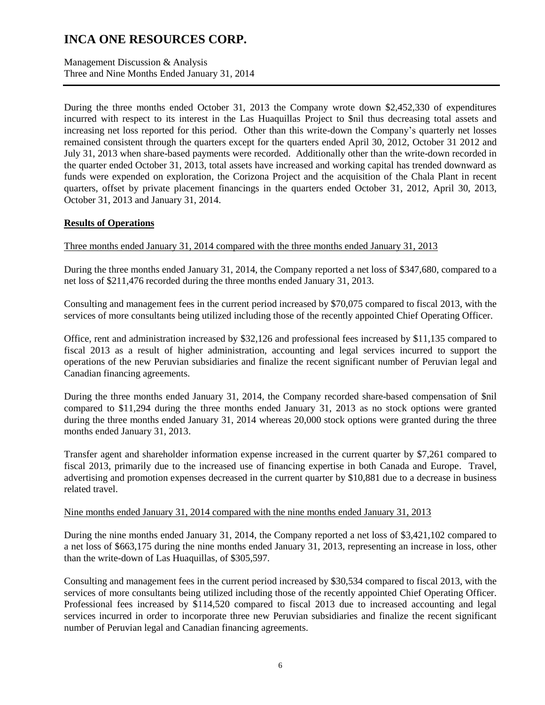Management Discussion & Analysis Three and Nine Months Ended January 31, 2014

During the three months ended October 31, 2013 the Company wrote down \$2,452,330 of expenditures incurred with respect to its interest in the Las Huaquillas Project to \$nil thus decreasing total assets and increasing net loss reported for this period. Other than this write-down the Company's quarterly net losses remained consistent through the quarters except for the quarters ended April 30, 2012, October 31 2012 and July 31, 2013 when share-based payments were recorded. Additionally other than the write-down recorded in the quarter ended October 31, 2013, total assets have increased and working capital has trended downward as funds were expended on exploration, the Corizona Project and the acquisition of the Chala Plant in recent quarters, offset by private placement financings in the quarters ended October 31, 2012, April 30, 2013, October 31, 2013 and January 31, 2014.

# **Results of Operations**

Three months ended January 31, 2014 compared with the three months ended January 31, 2013

During the three months ended January 31, 2014, the Company reported a net loss of \$347,680, compared to a net loss of \$211,476 recorded during the three months ended January 31, 2013.

Consulting and management fees in the current period increased by \$70,075 compared to fiscal 2013, with the services of more consultants being utilized including those of the recently appointed Chief Operating Officer.

Office, rent and administration increased by \$32,126 and professional fees increased by \$11,135 compared to fiscal 2013 as a result of higher administration, accounting and legal services incurred to support the operations of the new Peruvian subsidiaries and finalize the recent significant number of Peruvian legal and Canadian financing agreements.

During the three months ended January 31, 2014, the Company recorded share-based compensation of \$nil compared to \$11,294 during the three months ended January 31, 2013 as no stock options were granted during the three months ended January 31, 2014 whereas 20,000 stock options were granted during the three months ended January 31, 2013.

Transfer agent and shareholder information expense increased in the current quarter by \$7,261 compared to fiscal 2013, primarily due to the increased use of financing expertise in both Canada and Europe. Travel, advertising and promotion expenses decreased in the current quarter by \$10,881 due to a decrease in business related travel.

## Nine months ended January 31, 2014 compared with the nine months ended January 31, 2013

During the nine months ended January 31, 2014, the Company reported a net loss of \$3,421,102 compared to a net loss of \$663,175 during the nine months ended January 31, 2013, representing an increase in loss, other than the write-down of Las Huaquillas, of \$305,597.

Consulting and management fees in the current period increased by \$30,534 compared to fiscal 2013, with the services of more consultants being utilized including those of the recently appointed Chief Operating Officer. Professional fees increased by \$114,520 compared to fiscal 2013 due to increased accounting and legal services incurred in order to incorporate three new Peruvian subsidiaries and finalize the recent significant number of Peruvian legal and Canadian financing agreements.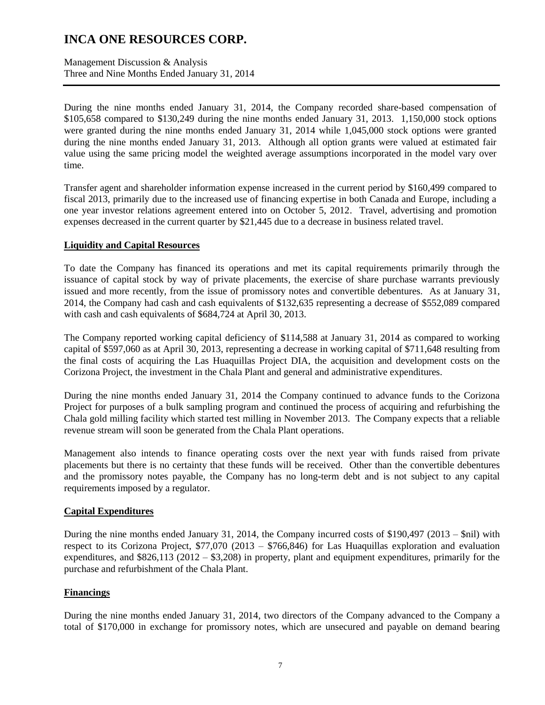Management Discussion & Analysis Three and Nine Months Ended January 31, 2014

During the nine months ended January 31, 2014, the Company recorded share-based compensation of \$105,658 compared to \$130,249 during the nine months ended January 31, 2013. 1,150,000 stock options were granted during the nine months ended January 31, 2014 while 1,045,000 stock options were granted during the nine months ended January 31, 2013. Although all option grants were valued at estimated fair value using the same pricing model the weighted average assumptions incorporated in the model vary over time.

Transfer agent and shareholder information expense increased in the current period by \$160,499 compared to fiscal 2013, primarily due to the increased use of financing expertise in both Canada and Europe, including a one year investor relations agreement entered into on October 5, 2012. Travel, advertising and promotion expenses decreased in the current quarter by \$21,445 due to a decrease in business related travel.

## **Liquidity and Capital Resources**

To date the Company has financed its operations and met its capital requirements primarily through the issuance of capital stock by way of private placements, the exercise of share purchase warrants previously issued and more recently, from the issue of promissory notes and convertible debentures. As at January 31, 2014, the Company had cash and cash equivalents of \$132,635 representing a decrease of \$552,089 compared with cash and cash equivalents of \$684,724 at April 30, 2013.

The Company reported working capital deficiency of \$114,588 at January 31, 2014 as compared to working capital of \$597,060 as at April 30, 2013, representing a decrease in working capital of \$711,648 resulting from the final costs of acquiring the Las Huaquillas Project DIA, the acquisition and development costs on the Corizona Project, the investment in the Chala Plant and general and administrative expenditures.

During the nine months ended January 31, 2014 the Company continued to advance funds to the Corizona Project for purposes of a bulk sampling program and continued the process of acquiring and refurbishing the Chala gold milling facility which started test milling in November 2013. The Company expects that a reliable revenue stream will soon be generated from the Chala Plant operations.

Management also intends to finance operating costs over the next year with funds raised from private placements but there is no certainty that these funds will be received. Other than the convertible debentures and the promissory notes payable, the Company has no long-term debt and is not subject to any capital requirements imposed by a regulator.

# **Capital Expenditures**

During the nine months ended January 31, 2014, the Company incurred costs of \$190,497 (2013 – \$nil) with respect to its Corizona Project, \$77,070 (2013 – \$766,846) for Las Huaquillas exploration and evaluation expenditures, and \$826,113 (2012 – \$3,208) in property, plant and equipment expenditures, primarily for the purchase and refurbishment of the Chala Plant.

## **Financings**

During the nine months ended January 31, 2014, two directors of the Company advanced to the Company a total of \$170,000 in exchange for promissory notes, which are unsecured and payable on demand bearing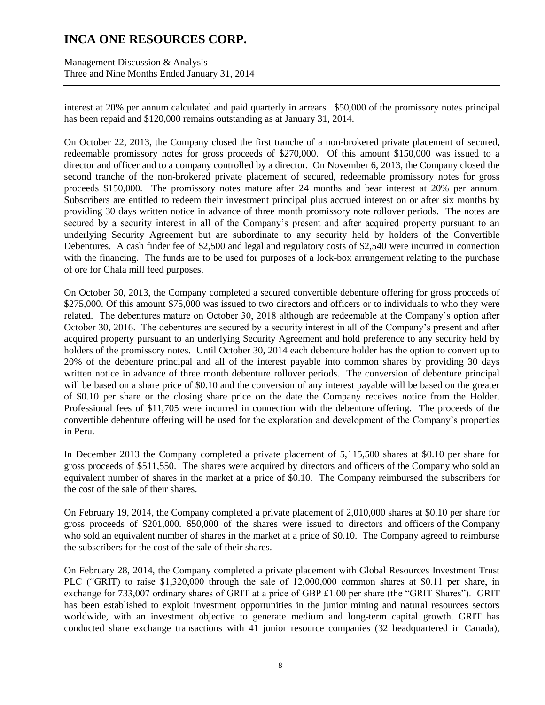Management Discussion & Analysis Three and Nine Months Ended January 31, 2014

interest at 20% per annum calculated and paid quarterly in arrears. \$50,000 of the promissory notes principal has been repaid and \$120,000 remains outstanding as at January 31, 2014.

On October 22, 2013, the Company closed the first tranche of a non-brokered private placement of secured, redeemable promissory notes for gross proceeds of \$270,000. Of this amount \$150,000 was issued to a director and officer and to a company controlled by a director. On November 6, 2013, the Company closed the second tranche of the non-brokered private placement of secured, redeemable promissory notes for gross proceeds \$150,000. The promissory notes mature after 24 months and bear interest at 20% per annum. Subscribers are entitled to redeem their investment principal plus accrued interest on or after six months by providing 30 days written notice in advance of three month promissory note rollover periods. The notes are secured by a security interest in all of the Company's present and after acquired property pursuant to an underlying Security Agreement but are subordinate to any security held by holders of the Convertible Debentures. A cash finder fee of \$2,500 and legal and regulatory costs of \$2,540 were incurred in connection with the financing. The funds are to be used for purposes of a lock-box arrangement relating to the purchase of ore for Chala mill feed purposes.

On October 30, 2013, the Company completed a secured convertible debenture offering for gross proceeds of \$275,000. Of this amount \$75,000 was issued to two directors and officers or to individuals to who they were related. The debentures mature on October 30, 2018 although are redeemable at the Company's option after October 30, 2016. The debentures are secured by a security interest in all of the Company's present and after acquired property pursuant to an underlying Security Agreement and hold preference to any security held by holders of the promissory notes. Until October 30, 2014 each debenture holder has the option to convert up to 20% of the debenture principal and all of the interest payable into common shares by providing 30 days written notice in advance of three month debenture rollover periods. The conversion of debenture principal will be based on a share price of \$0.10 and the conversion of any interest payable will be based on the greater of \$0.10 per share or the closing share price on the date the Company receives notice from the Holder. Professional fees of \$11,705 were incurred in connection with the debenture offering. The proceeds of the convertible debenture offering will be used for the exploration and development of the Company's properties in Peru.

In December 2013 the Company completed a private placement of 5,115,500 shares at \$0.10 per share for gross proceeds of \$511,550. The shares were acquired by directors and officers of the Company who sold an equivalent number of shares in the market at a price of \$0.10. The Company reimbursed the subscribers for the cost of the sale of their shares.

On February 19, 2014, the Company completed a private placement of 2,010,000 shares at \$0.10 per share for gross proceeds of \$201,000. 650,000 of the shares were issued to directors and officers of the Company who sold an equivalent number of shares in the market at a price of \$0.10. The Company agreed to reimburse the subscribers for the cost of the sale of their shares.

On February 28, 2014, the Company completed a private placement with Global Resources Investment Trust PLC ("GRIT) to raise \$1,320,000 through the sale of 12,000,000 common shares at \$0.11 per share, in exchange for 733,007 ordinary shares of GRIT at a price of GBP £1.00 per share (the "GRIT Shares"). GRIT has been established to exploit investment opportunities in the junior mining and natural resources sectors worldwide, with an investment objective to generate medium and long-term capital growth. GRIT has conducted share exchange transactions with 41 junior resource companies (32 headquartered in Canada),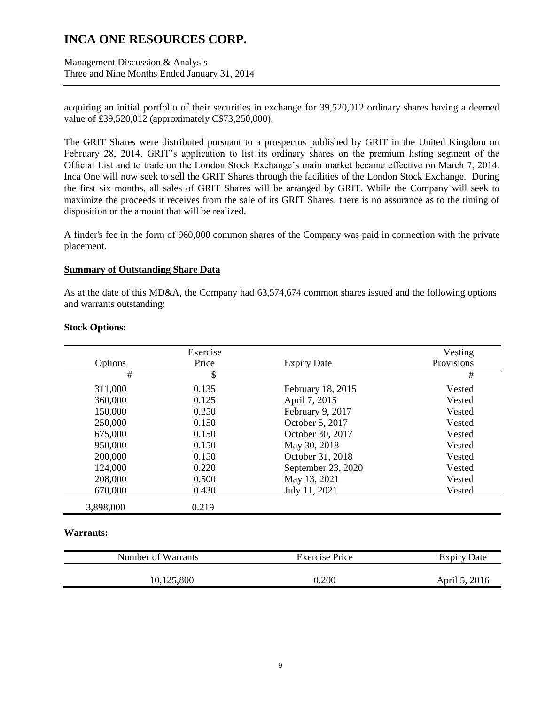Management Discussion & Analysis Three and Nine Months Ended January 31, 2014

acquiring an initial portfolio of their securities in exchange for 39,520,012 ordinary shares having a deemed value of £39,520,012 (approximately C\$73,250,000).

The GRIT Shares were distributed pursuant to a prospectus published by GRIT in the United Kingdom on February 28, 2014. GRIT's application to list its ordinary shares on the premium listing segment of the Official List and to trade on the London Stock Exchange's main market became effective on March 7, 2014. Inca One will now seek to sell the GRIT Shares through the facilities of the London Stock Exchange. During the first six months, all sales of GRIT Shares will be arranged by GRIT. While the Company will seek to maximize the proceeds it receives from the sale of its GRIT Shares, there is no assurance as to the timing of disposition or the amount that will be realized.

A finder's fee in the form of 960,000 common shares of the Company was paid in connection with the private placement.

#### **Summary of Outstanding Share Data**

As at the date of this MD&A, the Company had 63,574,674 common shares issued and the following options and warrants outstanding:

|           | Exercise |                    | Vesting    |
|-----------|----------|--------------------|------------|
| Options   | Price    | <b>Expiry Date</b> | Provisions |
| #         | \$       |                    | #          |
| 311,000   | 0.135    | February 18, 2015  | Vested     |
| 360,000   | 0.125    | April 7, 2015      | Vested     |
| 150,000   | 0.250    | February 9, 2017   | Vested     |
| 250,000   | 0.150    | October 5, 2017    | Vested     |
| 675,000   | 0.150    | October 30, 2017   | Vested     |
| 950,000   | 0.150    | May 30, 2018       | Vested     |
| 200,000   | 0.150    | October 31, 2018   | Vested     |
| 124,000   | 0.220    | September 23, 2020 | Vested     |
| 208,000   | 0.500    | May 13, 2021       | Vested     |
| 670,000   | 0.430    | July 11, 2021      | Vested     |
| 3,898,000 | 0.219    |                    |            |

#### **Stock Options:**

#### **Warrants:**

| Number of Warrants | Exercise Price | <b>Expiry Date</b> |  |
|--------------------|----------------|--------------------|--|
| 10,125,800         | 0.200          | April 5, 2016      |  |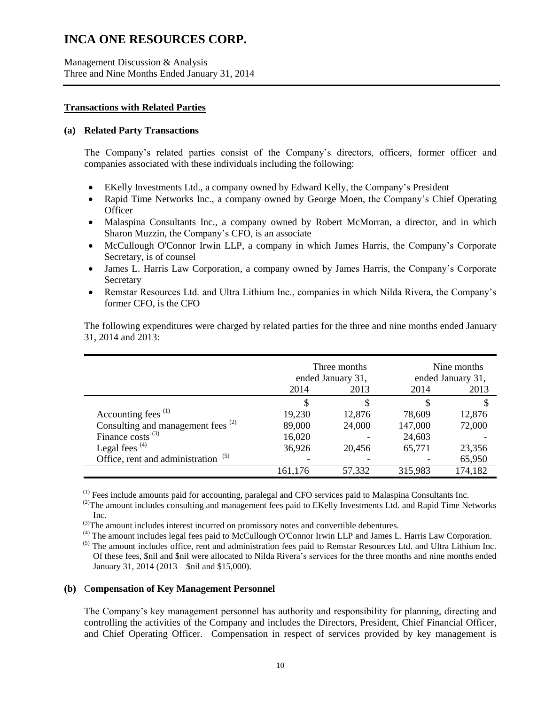Management Discussion & Analysis Three and Nine Months Ended January 31, 2014

#### **Transactions with Related Parties**

### **(a) Related Party Transactions**

The Company's related parties consist of the Company's directors, officers, former officer and companies associated with these individuals including the following:

- EKelly Investments Ltd., a company owned by Edward Kelly, the Company's President
- Rapid Time Networks Inc., a company owned by George Moen, the Company's Chief Operating **Officer**
- Malaspina Consultants Inc., a company owned by Robert McMorran, a director, and in which Sharon Muzzin, the Company's CFO, is an associate
- McCullough O'Connor Irwin LLP, a company in which James Harris, the Company's Corporate Secretary, is of counsel
- James L. Harris Law Corporation, a company owned by James Harris, the Company's Corporate Secretary
- Remstar Resources Ltd. and Ultra Lithium Inc., companies in which Nilda Rivera, the Company's former CFO, is the CFO

|                                                | Three months<br>ended January 31, |        | Nine months<br>ended January 31, |         |
|------------------------------------------------|-----------------------------------|--------|----------------------------------|---------|
|                                                | 2014                              | 2013   | 2014                             | 2013    |
|                                                | S                                 |        | S                                |         |
| Accounting fees <sup>(1)</sup>                 | 19,230                            | 12,876 | 78,609                           | 12,876  |
| Consulting and management fees <sup>(2)</sup>  | 89,000                            | 24,000 | 147,000                          | 72,000  |
| Finance costs $^{(3)}$                         | 16,020                            |        | 24,603                           |         |
| Legal fees $(4)$                               | 36,926                            | 20,456 | 65,771                           | 23,356  |
| Office, rent and administration <sup>(5)</sup> |                                   |        |                                  | 65,950  |
|                                                | 161,176                           | 57,332 | 315,983                          | 174,182 |

The following expenditures were charged by related parties for the three and nine months ended January 31, 2014 and 2013:

(1) Fees include amounts paid for accounting, paralegal and CFO services paid to Malaspina Consultants Inc.

<sup>(2)</sup>The amount includes consulting and management fees paid to EKelly Investments Ltd. and Rapid Time Networks Inc.

 $^{(3)}$ The amount includes interest incurred on promissory notes and convertible debentures.

(4) The amount includes legal fees paid to McCullough O'Connor Irwin LLP and James L. Harris Law Corporation.

<sup>(5)</sup> The amount includes office, rent and administration fees paid to Remstar Resources Ltd. and Ultra Lithium Inc. Of these fees, \$nil and \$nil were allocated to Nilda Rivera's services for the three months and nine months ended January 31, 2014 (2013 – \$nil and \$15,000).

#### **(b)** C**ompensation of Key Management Personnel**

The Company's key management personnel has authority and responsibility for planning, directing and controlling the activities of the Company and includes the Directors, President, Chief Financial Officer, and Chief Operating Officer. Compensation in respect of services provided by key management is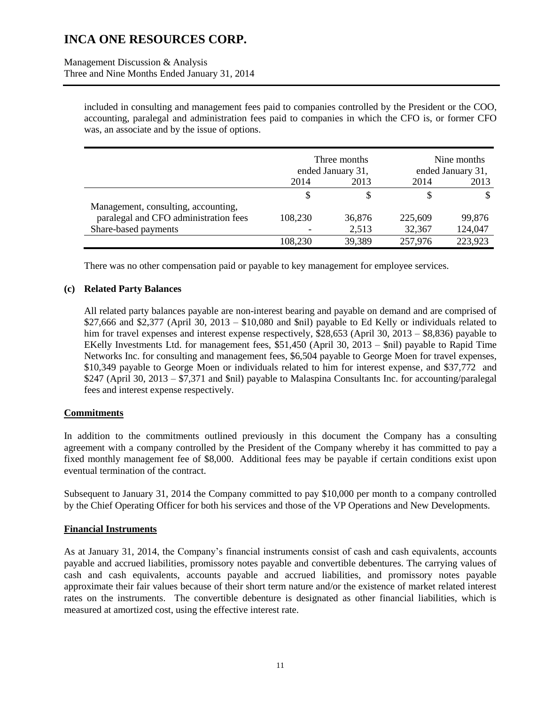Management Discussion & Analysis Three and Nine Months Ended January 31, 2014

> included in consulting and management fees paid to companies controlled by the President or the COO, accounting, paralegal and administration fees paid to companies in which the CFO is, or former CFO was, an associate and by the issue of options.

|                                       | Three months<br>ended January 31, |        | Nine months<br>ended January 31, |         |
|---------------------------------------|-----------------------------------|--------|----------------------------------|---------|
|                                       | 2014                              | 2013   | 2014                             | 2013    |
|                                       | S                                 | S      |                                  |         |
| Management, consulting, accounting,   |                                   |        |                                  |         |
| paralegal and CFO administration fees | 108,230                           | 36,876 | 225,609                          | 99,876  |
| Share-based payments                  |                                   | 2,513  | 32,367                           | 124,047 |
|                                       | 108,230                           | 39,389 | 257,976                          | 223,923 |

There was no other compensation paid or payable to key management for employee services.

## **(c) Related Party Balances**

All related party balances payable are non-interest bearing and payable on demand and are comprised of \$27,666 and \$2,377 (April 30, 2013 – \$10,080 and \$nil) payable to Ed Kelly or individuals related to him for travel expenses and interest expense respectively, \$28,653 (April 30, 2013 – \$8,836) payable to EKelly Investments Ltd. for management fees, \$51,450 (April 30, 2013 – \$nil) payable to Rapid Time Networks Inc. for consulting and management fees, \$6,504 payable to George Moen for travel expenses, \$10,349 payable to George Moen or individuals related to him for interest expense, and \$37,772 and \$247 (April 30, 2013 – \$7,371 and \$nil) payable to Malaspina Consultants Inc. for accounting/paralegal fees and interest expense respectively.

## **Commitments**

In addition to the commitments outlined previously in this document the Company has a consulting agreement with a company controlled by the President of the Company whereby it has committed to pay a fixed monthly management fee of \$8,000. Additional fees may be payable if certain conditions exist upon eventual termination of the contract.

Subsequent to January 31, 2014 the Company committed to pay \$10,000 per month to a company controlled by the Chief Operating Officer for both his services and those of the VP Operations and New Developments.

## **Financial Instruments**

As at January 31, 2014, the Company's financial instruments consist of cash and cash equivalents, accounts payable and accrued liabilities, promissory notes payable and convertible debentures. The carrying values of cash and cash equivalents, accounts payable and accrued liabilities, and promissory notes payable approximate their fair values because of their short term nature and/or the existence of market related interest rates on the instruments. The convertible debenture is designated as other financial liabilities, which is measured at amortized cost, using the effective interest rate.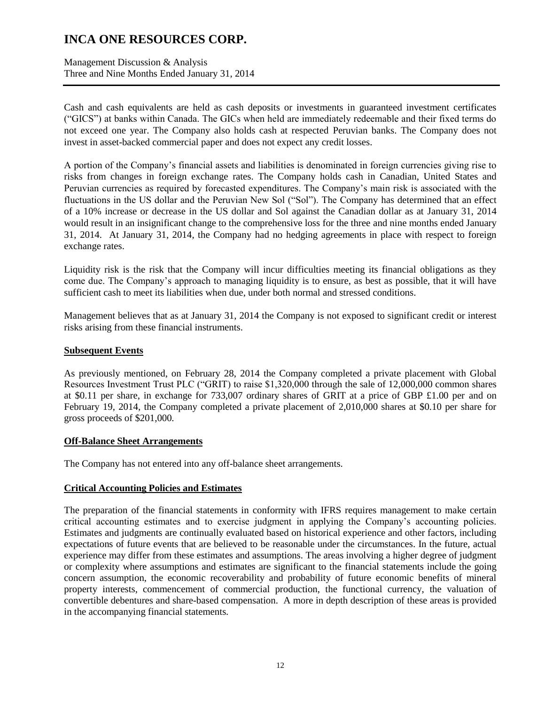Management Discussion & Analysis Three and Nine Months Ended January 31, 2014

Cash and cash equivalents are held as cash deposits or investments in guaranteed investment certificates ("GICS") at banks within Canada. The GICs when held are immediately redeemable and their fixed terms do not exceed one year. The Company also holds cash at respected Peruvian banks. The Company does not invest in asset-backed commercial paper and does not expect any credit losses.

A portion of the Company's financial assets and liabilities is denominated in foreign currencies giving rise to risks from changes in foreign exchange rates. The Company holds cash in Canadian, United States and Peruvian currencies as required by forecasted expenditures. The Company's main risk is associated with the fluctuations in the US dollar and the Peruvian New Sol ("Sol"). The Company has determined that an effect of a 10% increase or decrease in the US dollar and Sol against the Canadian dollar as at January 31, 2014 would result in an insignificant change to the comprehensive loss for the three and nine months ended January 31, 2014. At January 31, 2014, the Company had no hedging agreements in place with respect to foreign exchange rates.

Liquidity risk is the risk that the Company will incur difficulties meeting its financial obligations as they come due. The Company's approach to managing liquidity is to ensure, as best as possible, that it will have sufficient cash to meet its liabilities when due, under both normal and stressed conditions.

Management believes that as at January 31, 2014 the Company is not exposed to significant credit or interest risks arising from these financial instruments.

## **Subsequent Events**

As previously mentioned, on February 28, 2014 the Company completed a private placement with Global Resources Investment Trust PLC ("GRIT) to raise \$1,320,000 through the sale of 12,000,000 common shares at \$0.11 per share, in exchange for 733,007 ordinary shares of GRIT at a price of GBP £1.00 per and on February 19, 2014, the Company completed a private placement of 2,010,000 shares at \$0.10 per share for gross proceeds of \$201,000.

## **Off-Balance Sheet Arrangements**

The Company has not entered into any off-balance sheet arrangements.

## **Critical Accounting Policies and Estimates**

The preparation of the financial statements in conformity with IFRS requires management to make certain critical accounting estimates and to exercise judgment in applying the Company's accounting policies. Estimates and judgments are continually evaluated based on historical experience and other factors, including expectations of future events that are believed to be reasonable under the circumstances. In the future, actual experience may differ from these estimates and assumptions. The areas involving a higher degree of judgment or complexity where assumptions and estimates are significant to the financial statements include the going concern assumption, the economic recoverability and probability of future economic benefits of mineral property interests, commencement of commercial production, the functional currency, the valuation of convertible debentures and share-based compensation. A more in depth description of these areas is provided in the accompanying financial statements.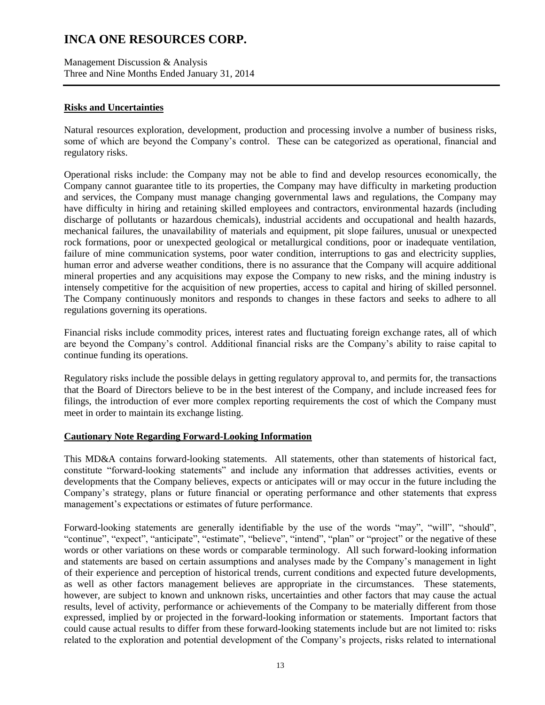Management Discussion & Analysis Three and Nine Months Ended January 31, 2014

## **Risks and Uncertainties**

Natural resources exploration, development, production and processing involve a number of business risks, some of which are beyond the Company's control. These can be categorized as operational, financial and regulatory risks.

Operational risks include: the Company may not be able to find and develop resources economically, the Company cannot guarantee title to its properties, the Company may have difficulty in marketing production and services, the Company must manage changing governmental laws and regulations, the Company may have difficulty in hiring and retaining skilled employees and contractors, environmental hazards (including discharge of pollutants or hazardous chemicals), industrial accidents and occupational and health hazards, mechanical failures, the unavailability of materials and equipment, pit slope failures, unusual or unexpected rock formations, poor or unexpected geological or metallurgical conditions, poor or inadequate ventilation, failure of mine communication systems, poor water condition, interruptions to gas and electricity supplies, human error and adverse weather conditions, there is no assurance that the Company will acquire additional mineral properties and any acquisitions may expose the Company to new risks, and the mining industry is intensely competitive for the acquisition of new properties, access to capital and hiring of skilled personnel. The Company continuously monitors and responds to changes in these factors and seeks to adhere to all regulations governing its operations.

Financial risks include commodity prices, interest rates and fluctuating foreign exchange rates, all of which are beyond the Company's control. Additional financial risks are the Company's ability to raise capital to continue funding its operations.

Regulatory risks include the possible delays in getting regulatory approval to, and permits for, the transactions that the Board of Directors believe to be in the best interest of the Company, and include increased fees for filings, the introduction of ever more complex reporting requirements the cost of which the Company must meet in order to maintain its exchange listing.

## **Cautionary Note Regarding Forward-Looking Information**

This MD&A contains forward-looking statements. All statements, other than statements of historical fact, constitute "forward-looking statements" and include any information that addresses activities, events or developments that the Company believes, expects or anticipates will or may occur in the future including the Company's strategy, plans or future financial or operating performance and other statements that express management's expectations or estimates of future performance.

Forward-looking statements are generally identifiable by the use of the words "may", "will", "should", "continue", "expect", "anticipate", "estimate", "believe", "intend", "plan" or "project" or the negative of these words or other variations on these words or comparable terminology. All such forward-looking information and statements are based on certain assumptions and analyses made by the Company's management in light of their experience and perception of historical trends, current conditions and expected future developments, as well as other factors management believes are appropriate in the circumstances. These statements, however, are subject to known and unknown risks, uncertainties and other factors that may cause the actual results, level of activity, performance or achievements of the Company to be materially different from those expressed, implied by or projected in the forward-looking information or statements. Important factors that could cause actual results to differ from these forward-looking statements include but are not limited to: risks related to the exploration and potential development of the Company's projects, risks related to international